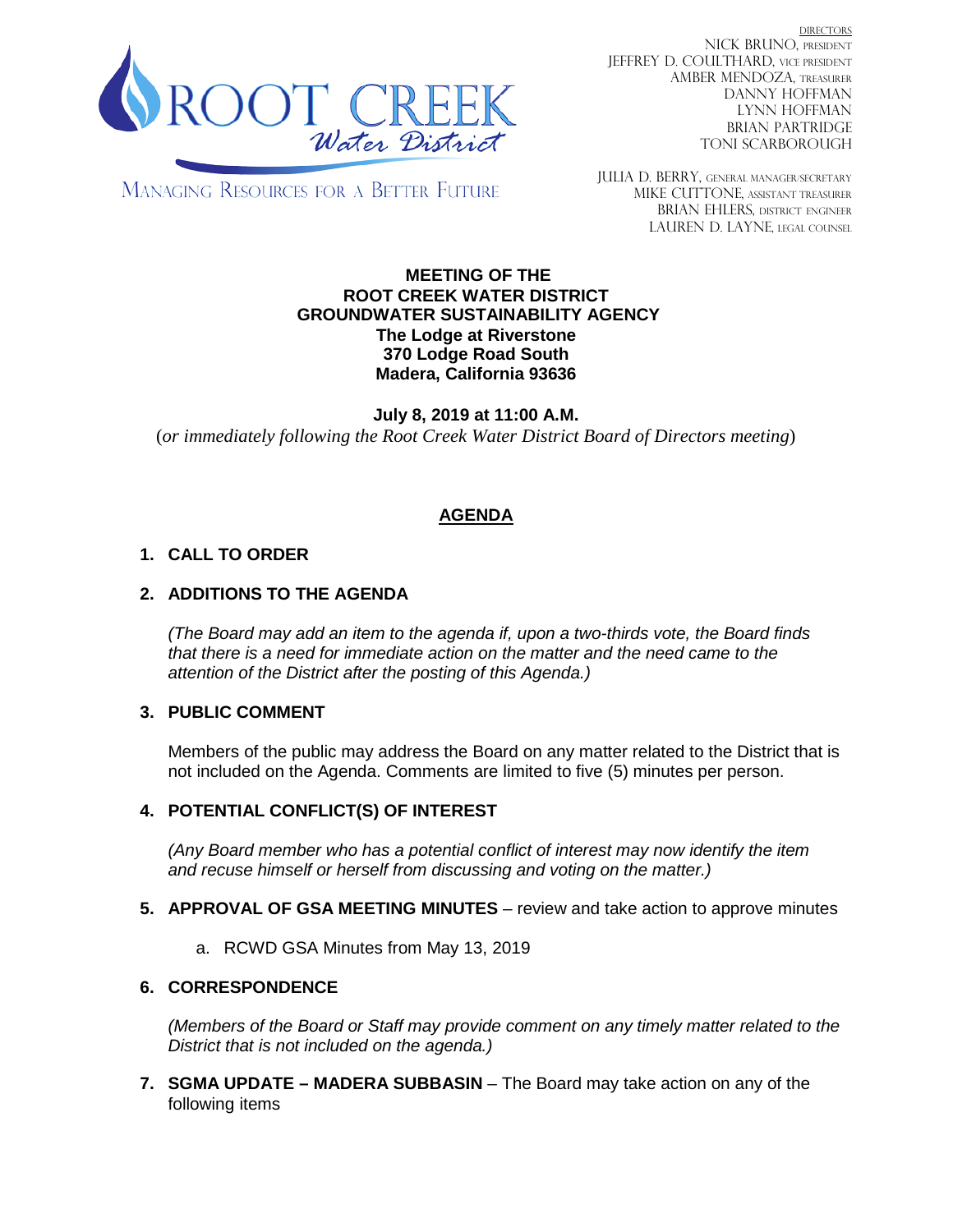

DIRECTORS NICK BRUNO, PRESIDENT JEFFREY D. COULTHARD, VICE PRESIDENT AMBER MENDOZA, TREASURER DANNY HOFFMAN LYNN HOFFMAN BRIAN PARTRIDGE TONI SCARBOROUGH

MANAGING RESOURCES FOR A BETTER FUTURE

JULIA D. BERRY, GENERAL MANAGER/secretary MIKE CUTTONE, Assistant treasurer BRIAN EHLERS, DISTRICT ENGINEER LAUREN D. LAYNE, LEGAL COUNSEL

#### **MEETING OF THE ROOT CREEK WATER DISTRICT GROUNDWATER SUSTAINABILITY AGENCY The Lodge at Riverstone 370 Lodge Road South Madera, California 93636**

**July 8, 2019 at 11:00 A.M.** (*or immediately following the Root Creek Water District Board of Directors meeting*)

# **AGENDA**

# **1. CALL TO ORDER**

### **2. ADDITIONS TO THE AGENDA**

*(The Board may add an item to the agenda if, upon a two-thirds vote, the Board finds that there is a need for immediate action on the matter and the need came to the attention of the District after the posting of this Agenda.)*

#### **3. PUBLIC COMMENT**

Members of the public may address the Board on any matter related to the District that is not included on the Agenda. Comments are limited to five (5) minutes per person.

#### **4. POTENTIAL CONFLICT(S) OF INTEREST**

*(Any Board member who has a potential conflict of interest may now identify the item and recuse himself or herself from discussing and voting on the matter.)*

- **5. APPROVAL OF GSA MEETING MINUTES** review and take action to approve minutes
	- a. RCWD GSA Minutes from May 13, 2019

#### **6. CORRESPONDENCE**

*(Members of the Board or Staff may provide comment on any timely matter related to the District that is not included on the agenda.)*

**7. SGMA UPDATE – MADERA SUBBASIN** – The Board may take action on any of the following items